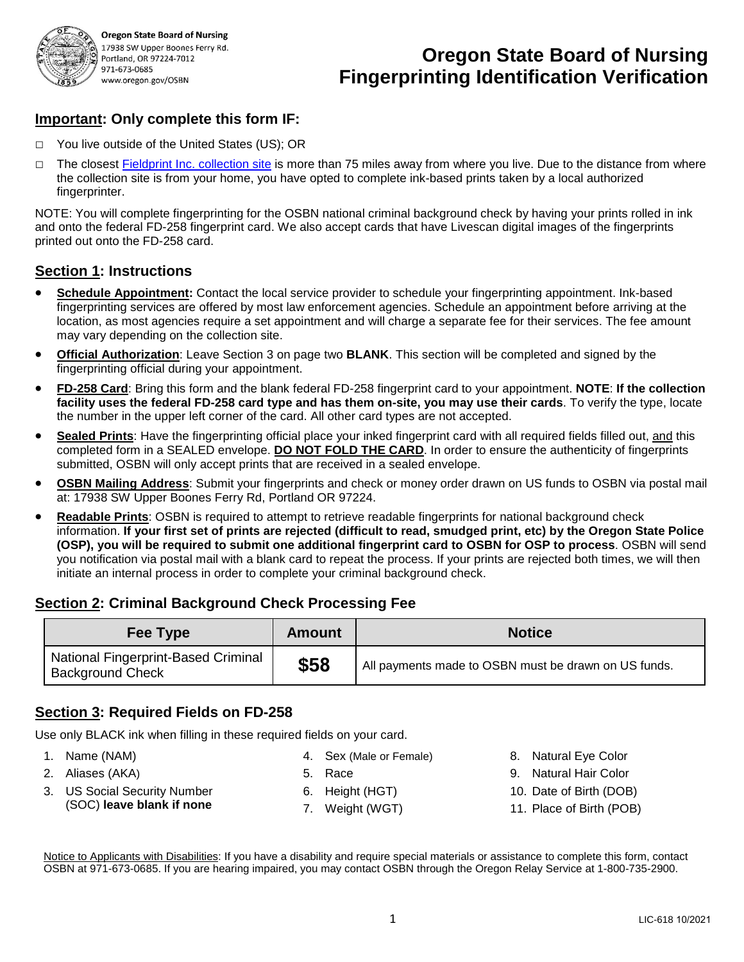

**Oregon State Board of Nursing** 17938 SW Upper Boones Ferry Rd. Portland, OR 97224-7012 971-673-0685 www.oregon.gov/OSBN

# **Oregon State Board of Nursing Fingerprinting Identification Verification**

### **Important: Only complete this form IF:**

- □ You live outside of the United States (US); OR
- □ The closest [Fieldprint Inc. collection site](http://fieldprintfbi.com/FBISubPage_2col.aspx?ChannelID=266) is more than 75 miles away from where you live. Due to the distance from where the collection site is from your home, you have opted to complete ink-based prints taken by a local authorized fingerprinter.

NOTE: You will complete fingerprinting for the OSBN national criminal background check by having your prints rolled in ink and onto the federal FD-258 fingerprint card. We also accept cards that have Livescan digital images of the fingerprints printed out onto the FD-258 card.

#### **Section 1: Instructions**

- **Schedule Appointment:** Contact the local service provider to schedule your fingerprinting appointment. Ink-based fingerprinting services are offered by most law enforcement agencies. Schedule an appointment before arriving at the location, as most agencies require a set appointment and will charge a separate fee for their services. The fee amount may vary depending on the collection site.
- **Official Authorization**: Leave Section 3 on page two **BLANK**. This section will be completed and signed by the fingerprinting official during your appointment.
- **FD-258 Card**: Bring this form and the blank federal FD-258 fingerprint card to your appointment. **NOTE**: **If the collection facility uses the federal FD-258 card type and has them on-site, you may use their cards**. To verify the type, locate the number in the upper left corner of the card. All other card types are not accepted.
- **Sealed Prints**: Have the fingerprinting official place your inked fingerprint card with all required fields filled out, and this completed form in a SEALED envelope. **DO NOT FOLD THE CARD**. In order to ensure the authenticity of fingerprints submitted, OSBN will only accept prints that are received in a sealed envelope.
- **OSBN Mailing Address**: Submit your fingerprints and check or money order drawn on US funds to OSBN via postal mail at: 17938 SW Upper Boones Ferry Rd, Portland OR 97224.
- **Readable Prints**: OSBN is required to attempt to retrieve readable fingerprints for national background check information. **If your first set of prints are rejected (difficult to read, smudged print, etc) by the Oregon State Police (OSP), you will be required to submit one additional fingerprint card to OSBN for OSP to process**. OSBN will send you notification via postal mail with a blank card to repeat the process. If your prints are rejected both times, we will then initiate an internal process in order to complete your criminal background check.

#### **Section 2: Criminal Background Check Processing Fee**

| Fee Type                                                       | <b>Amount</b> | <b>Notice</b>                                        |
|----------------------------------------------------------------|---------------|------------------------------------------------------|
| National Fingerprint-Based Criminal<br><b>Background Check</b> | \$58          | All payments made to OSBN must be drawn on US funds. |

#### **Section 3: Required Fields on FD-258**

Use only BLACK ink when filling in these required fields on your card.

- 1. Name (NAM)
- 2. Aliases (AKA)
- 5. Race
- 3. US Social Security Number (SOC) **leave blank if none**
- 6. Height (HGT)
- 7. Weight (WGT)
- 8. Natural Eye Color
- 9. Natural Hair Color
- 10. Date of Birth (DOB)
- 11. Place of Birth (POB)

Notice to Applicants with Disabilities: If you have a disability and require special materials or assistance to complete this form, contact OSBN at 971-673-0685. If you are hearing impaired, you may contact OSBN through the Oregon Relay Service at 1-800-735-2900.

4. Sex (Male or Female)